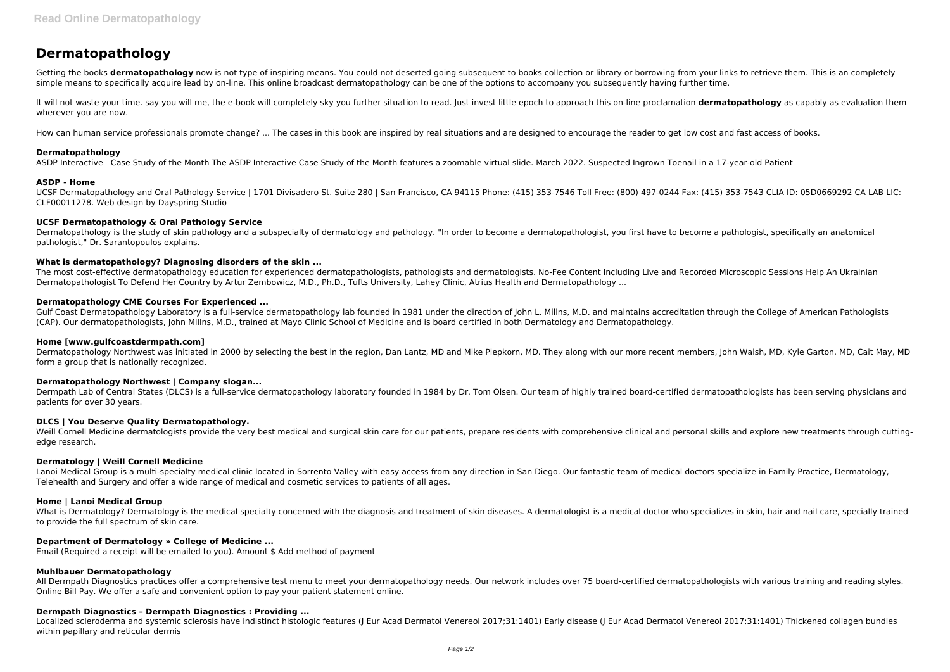# **Dermatopathology**

Getting the books **dermatopathology** now is not type of inspiring means. You could not deserted going subsequent to books collection or library or borrowing from your links to retrieve them. This is an completely simple means to specifically acquire lead by on-line. This online broadcast dermatopathology can be one of the options to accompany you subsequently having further time.

It will not waste your time. say you will me, the e-book will completely sky you further situation to read. Just invest little epoch to approach this on-line proclamation **dermatopathology** as capably as evaluation them wherever you are now.

How can human service professionals promote change? ... The cases in this book are inspired by real situations and are designed to encourage the reader to get low cost and fast access of books.

Dermatopathology is the study of skin pathology and a subspecialty of dermatology and pathology. "In order to become a dermatopathologist, you first have to become a pathologist, specifically an anatomical pathologist," Dr. Sarantopoulos explains.

#### **Dermatopathology**

ASDP Interactive Case Study of the Month The ASDP Interactive Case Study of the Month features a zoomable virtual slide. March 2022. Suspected Ingrown Toenail in a 17-year-old Patient

#### **ASDP - Home**

UCSF Dermatopathology and Oral Pathology Service | 1701 Divisadero St. Suite 280 | San Francisco, CA 94115 Phone: (415) 353-7546 Toll Free: (800) 497-0244 Fax: (415) 353-7543 CLIA ID: 05D0669292 CA LAB LIC: CLF00011278. Web design by Dayspring Studio

Gulf Coast Dermatopathology Laboratory is a full-service dermatopathology lab founded in 1981 under the direction of John L. Millns, M.D. and maintains accreditation through the College of American Pathologists (CAP). Our dermatopathologists, John Millns, M.D., trained at Mayo Clinic School of Medicine and is board certified in both Dermatology and Dermatopathology.

#### **UCSF Dermatopathology & Oral Pathology Service**

Weill Cornell Medicine dermatologists provide the very best medical and surgical skin care for our patients, prepare residents with comprehensive clinical and personal skills and explore new treatments through cuttingedge research.

#### **What is dermatopathology? Diagnosing disorders of the skin ...**

The most cost-effective dermatopathology education for experienced dermatopathologists, pathologists and dermatologists. No-Fee Content Including Live and Recorded Microscopic Sessions Help An Ukrainian Dermatopathologist To Defend Her Country by Artur Zembowicz, M.D., Ph.D., Tufts University, Lahey Clinic, Atrius Health and Dermatopathology ...

What is Dermatology? Dermatology is the medical specialty concerned with the diagnosis and treatment of skin diseases. A dermatologist is a medical doctor who specializes in skin, hair and nail care, specially trained to provide the full spectrum of skin care.

#### **Dermatopathology CME Courses For Experienced ...**

All Dermpath Diagnostics practices offer a comprehensive test menu to meet your dermatopathology needs. Our network includes over 75 board-certified dermatopathologists with various training and reading styles. Online Bill Pay. We offer a safe and convenient option to pay your patient statement online.

#### **Home [www.gulfcoastdermpath.com]**

Dermatopathology Northwest was initiated in 2000 by selecting the best in the region, Dan Lantz, MD and Mike Piepkorn, MD. They along with our more recent members, John Walsh, MD, Kyle Garton, MD, Cait May, MD form a group that is nationally recognized.

#### **Dermatopathology Northwest | Company slogan...**

Dermpath Lab of Central States (DLCS) is a full-service dermatopathology laboratory founded in 1984 by Dr. Tom Olsen. Our team of highly trained board-certified dermatopathologists has been serving physicians and patients for over 30 years.

#### **DLCS | You Deserve Quality Dermatopathology.**

#### **Dermatology | Weill Cornell Medicine**

Lanoi Medical Group is a multi-specialty medical clinic located in Sorrento Valley with easy access from any direction in San Diego. Our fantastic team of medical doctors specialize in Family Practice, Dermatology, Telehealth and Surgery and offer a wide range of medical and cosmetic services to patients of all ages.

# **Home | Lanoi Medical Group**

#### **Department of Dermatology » College of Medicine ...**

Email (Required a receipt will be emailed to you). Amount \$ Add method of payment

#### **Muhlbauer Dermatopathology**

#### **Dermpath Diagnostics – Dermpath Diagnostics : Providing ...**

Localized scleroderma and systemic sclerosis have indistinct histologic features (J Eur Acad Dermatol Venereol 2017;31:1401) Early disease (J Eur Acad Dermatol Venereol 2017;31:1401) Thickened collagen bundles within papillary and reticular dermis